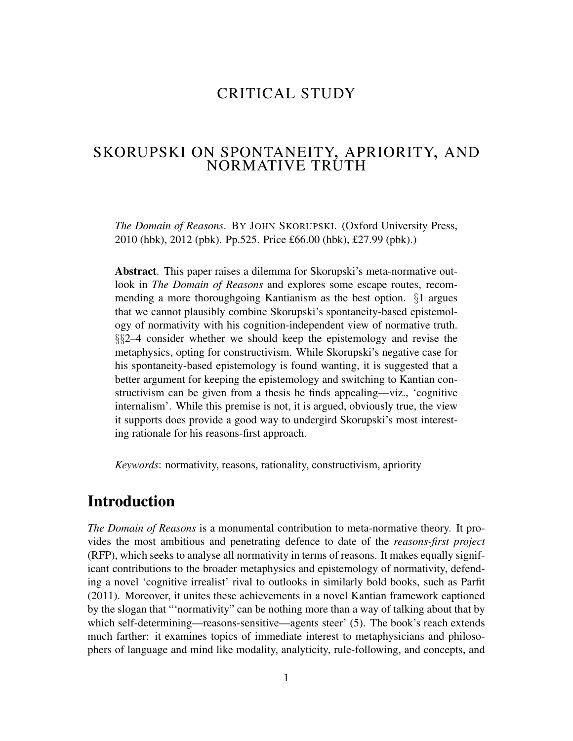### CRITICAL STUDY

### SKORUPSKI ON SPONTANEITY, APRIORITY, AND NORMATIVE TRÚTH

*The Domain of Reasons*. BY JOHN SKORUPSKI. (Oxford University Press, 2010 (hbk), 2012 (pbk). Pp.525. Price £66.00 (hbk), £27.99 (pbk).)

Abstract. This paper raises a dilemma for Skorupski's meta-normative outlook in *The Domain of Reasons* and explores some escape routes, recommending a more thoroughgoing Kantianism as the best option. §1 argues that we cannot plausibly combine Skorupski's spontaneity-based epistemology of normativity with his cognition-independent view of normative truth. §§2–4 consider whether we should keep the epistemology and revise the metaphysics, opting for constructivism. While Skorupski's negative case for his spontaneity-based epistemology is found wanting, it is suggested that a better argument for keeping the epistemology and switching to Kantian constructivism can be given from a thesis he finds appealing—viz., 'cognitive internalism'. While this premise is not, it is argued, obviously true, the view it supports does provide a good way to undergird Skorupski's most interesting rationale for his reasons-first approach.

*Keywords*: normativity, reasons, rationality, constructivism, apriority

# Introduction

*The Domain of Reasons* is a monumental contribution to meta-normative theory. It provides the most ambitious and penetrating defence to date of the *reasons-first project* (RFP), which seeks to analyse all normativity in terms of reasons. It makes equally significant contributions to the broader metaphysics and epistemology of normativity, defending a novel 'cognitive irrealist' rival to outlooks in similarly bold books, such as Parfit (2011). Moreover, it unites these achievements in a novel Kantian framework captioned by the slogan that "'normativity" can be nothing more than a way of talking about that by which self-determining—reasons-sensitive—agents steer' (5). The book's reach extends much farther: it examines topics of immediate interest to metaphysicians and philosophers of language and mind like modality, analyticity, rule-following, and concepts, and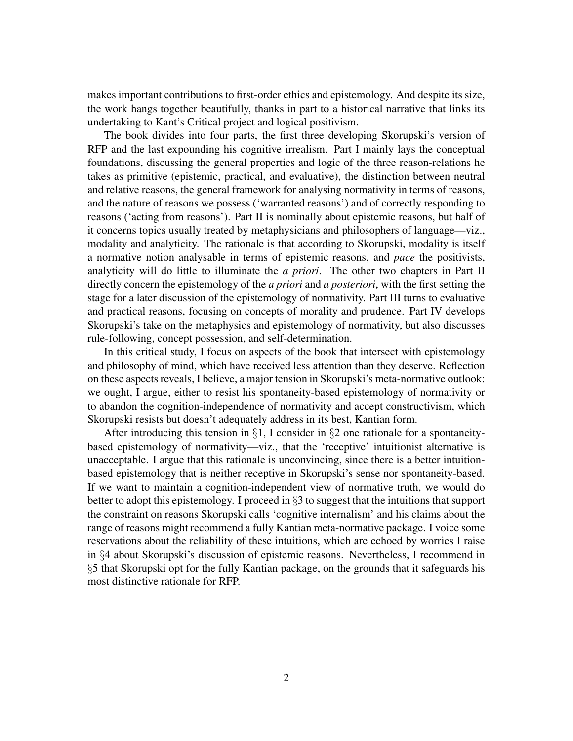makes important contributions to first-order ethics and epistemology. And despite its size, the work hangs together beautifully, thanks in part to a historical narrative that links its undertaking to Kant's Critical project and logical positivism.

The book divides into four parts, the first three developing Skorupski's version of RFP and the last expounding his cognitive irrealism. Part I mainly lays the conceptual foundations, discussing the general properties and logic of the three reason-relations he takes as primitive (epistemic, practical, and evaluative), the distinction between neutral and relative reasons, the general framework for analysing normativity in terms of reasons, and the nature of reasons we possess ('warranted reasons') and of correctly responding to reasons ('acting from reasons'). Part II is nominally about epistemic reasons, but half of it concerns topics usually treated by metaphysicians and philosophers of language—viz., modality and analyticity. The rationale is that according to Skorupski, modality is itself a normative notion analysable in terms of epistemic reasons, and *pace* the positivists, analyticity will do little to illuminate the *a priori*. The other two chapters in Part II directly concern the epistemology of the *a priori* and *a posteriori*, with the first setting the stage for a later discussion of the epistemology of normativity. Part III turns to evaluative and practical reasons, focusing on concepts of morality and prudence. Part IV develops Skorupski's take on the metaphysics and epistemology of normativity, but also discusses rule-following, concept possession, and self-determination.

In this critical study, I focus on aspects of the book that intersect with epistemology and philosophy of mind, which have received less attention than they deserve. Reflection on these aspects reveals, I believe, a major tension in Skorupski's meta-normative outlook: we ought, I argue, either to resist his spontaneity-based epistemology of normativity or to abandon the cognition-independence of normativity and accept constructivism, which Skorupski resists but doesn't adequately address in its best, Kantian form.

After introducing this tension in §1, I consider in §2 one rationale for a spontaneitybased epistemology of normativity—viz., that the 'receptive' intuitionist alternative is unacceptable. I argue that this rationale is unconvincing, since there is a better intuitionbased epistemology that is neither receptive in Skorupski's sense nor spontaneity-based. If we want to maintain a cognition-independent view of normative truth, we would do better to adopt this epistemology. I proceed in §3 to suggest that the intuitions that support the constraint on reasons Skorupski calls 'cognitive internalism' and his claims about the range of reasons might recommend a fully Kantian meta-normative package. I voice some reservations about the reliability of these intuitions, which are echoed by worries I raise in §4 about Skorupski's discussion of epistemic reasons. Nevertheless, I recommend in §5 that Skorupski opt for the fully Kantian package, on the grounds that it safeguards his most distinctive rationale for RFP.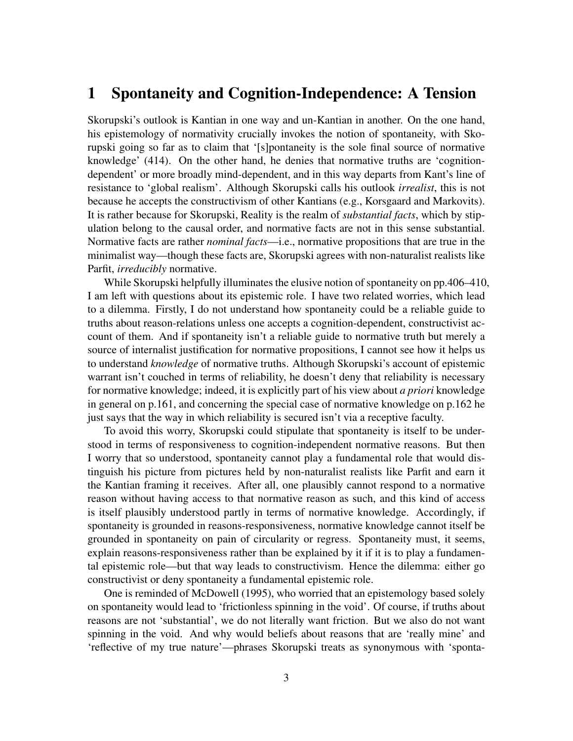## 1 Spontaneity and Cognition-Independence: A Tension

Skorupski's outlook is Kantian in one way and un-Kantian in another. On the one hand, his epistemology of normativity crucially invokes the notion of spontaneity, with Skorupski going so far as to claim that '[s]pontaneity is the sole final source of normative knowledge' (414). On the other hand, he denies that normative truths are 'cognitiondependent' or more broadly mind-dependent, and in this way departs from Kant's line of resistance to 'global realism'. Although Skorupski calls his outlook *irrealist*, this is not because he accepts the constructivism of other Kantians (e.g., Korsgaard and Markovits). It is rather because for Skorupski, Reality is the realm of *substantial facts*, which by stipulation belong to the causal order, and normative facts are not in this sense substantial. Normative facts are rather *nominal facts*—i.e., normative propositions that are true in the minimalist way—though these facts are, Skorupski agrees with non-naturalist realists like Parfit, *irreducibly* normative.

While Skorupski helpfully illuminates the elusive notion of spontaneity on pp.406–410, I am left with questions about its epistemic role. I have two related worries, which lead to a dilemma. Firstly, I do not understand how spontaneity could be a reliable guide to truths about reason-relations unless one accepts a cognition-dependent, constructivist account of them. And if spontaneity isn't a reliable guide to normative truth but merely a source of internalist justification for normative propositions, I cannot see how it helps us to understand *knowledge* of normative truths. Although Skorupski's account of epistemic warrant isn't couched in terms of reliability, he doesn't deny that reliability is necessary for normative knowledge; indeed, it is explicitly part of his view about *a priori* knowledge in general on p.161, and concerning the special case of normative knowledge on p.162 he just says that the way in which reliability is secured isn't via a receptive faculty.

To avoid this worry, Skorupski could stipulate that spontaneity is itself to be understood in terms of responsiveness to cognition-independent normative reasons. But then I worry that so understood, spontaneity cannot play a fundamental role that would distinguish his picture from pictures held by non-naturalist realists like Parfit and earn it the Kantian framing it receives. After all, one plausibly cannot respond to a normative reason without having access to that normative reason as such, and this kind of access is itself plausibly understood partly in terms of normative knowledge. Accordingly, if spontaneity is grounded in reasons-responsiveness, normative knowledge cannot itself be grounded in spontaneity on pain of circularity or regress. Spontaneity must, it seems, explain reasons-responsiveness rather than be explained by it if it is to play a fundamental epistemic role—but that way leads to constructivism. Hence the dilemma: either go constructivist or deny spontaneity a fundamental epistemic role.

One is reminded of McDowell (1995), who worried that an epistemology based solely on spontaneity would lead to 'frictionless spinning in the void'. Of course, if truths about reasons are not 'substantial', we do not literally want friction. But we also do not want spinning in the void. And why would beliefs about reasons that are 'really mine' and 'reflective of my true nature'—phrases Skorupski treats as synonymous with 'sponta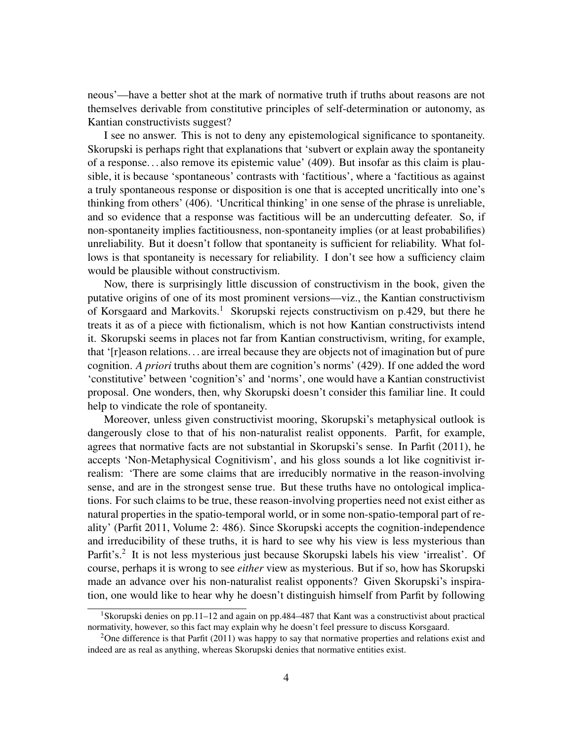neous'—have a better shot at the mark of normative truth if truths about reasons are not themselves derivable from constitutive principles of self-determination or autonomy, as Kantian constructivists suggest?

I see no answer. This is not to deny any epistemological significance to spontaneity. Skorupski is perhaps right that explanations that 'subvert or explain away the spontaneity of a response. . . also remove its epistemic value' (409). But insofar as this claim is plausible, it is because 'spontaneous' contrasts with 'factitious', where a 'factitious as against a truly spontaneous response or disposition is one that is accepted uncritically into one's thinking from others' (406). 'Uncritical thinking' in one sense of the phrase is unreliable, and so evidence that a response was factitious will be an undercutting defeater. So, if non-spontaneity implies factitiousness, non-spontaneity implies (or at least probabilifies) unreliability. But it doesn't follow that spontaneity is sufficient for reliability. What follows is that spontaneity is necessary for reliability. I don't see how a sufficiency claim would be plausible without constructivism.

Now, there is surprisingly little discussion of constructivism in the book, given the putative origins of one of its most prominent versions—viz., the Kantian constructivism of Korsgaard and Markovits.<sup>1</sup> Skorupski rejects constructivism on p.429, but there he treats it as of a piece with fictionalism, which is not how Kantian constructivists intend it. Skorupski seems in places not far from Kantian constructivism, writing, for example, that '[r]eason relations. . . are irreal because they are objects not of imagination but of pure cognition. *A priori* truths about them are cognition's norms' (429). If one added the word 'constitutive' between 'cognition's' and 'norms', one would have a Kantian constructivist proposal. One wonders, then, why Skorupski doesn't consider this familiar line. It could help to vindicate the role of spontaneity.

Moreover, unless given constructivist mooring, Skorupski's metaphysical outlook is dangerously close to that of his non-naturalist realist opponents. Parfit, for example, agrees that normative facts are not substantial in Skorupski's sense. In Parfit (2011), he accepts 'Non-Metaphysical Cognitivism', and his gloss sounds a lot like cognitivist irrealism: 'There are some claims that are irreducibly normative in the reason-involving sense, and are in the strongest sense true. But these truths have no ontological implications. For such claims to be true, these reason-involving properties need not exist either as natural properties in the spatio-temporal world, or in some non-spatio-temporal part of reality' (Parfit 2011, Volume 2: 486). Since Skorupski accepts the cognition-independence and irreducibility of these truths, it is hard to see why his view is less mysterious than Parfit's.<sup>2</sup> It is not less mysterious just because Skorupski labels his view 'irrealist'. Of course, perhaps it is wrong to see *either* view as mysterious. But if so, how has Skorupski made an advance over his non-naturalist realist opponents? Given Skorupski's inspiration, one would like to hear why he doesn't distinguish himself from Parfit by following

<sup>1</sup>Skorupski denies on pp.11–12 and again on pp.484–487 that Kant was a constructivist about practical normativity, however, so this fact may explain why he doesn't feel pressure to discuss Korsgaard.

<sup>2</sup>One difference is that Parfit (2011) was happy to say that normative properties and relations exist and indeed are as real as anything, whereas Skorupski denies that normative entities exist.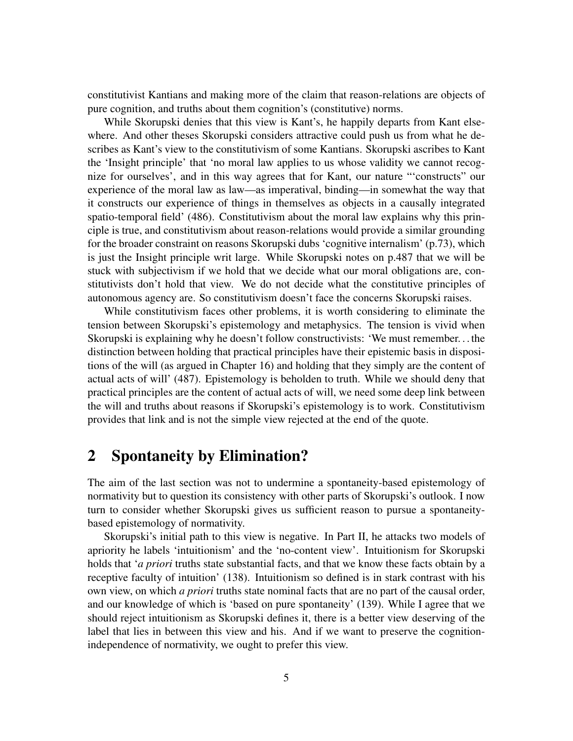constitutivist Kantians and making more of the claim that reason-relations are objects of pure cognition, and truths about them cognition's (constitutive) norms.

While Skorupski denies that this view is Kant's, he happily departs from Kant elsewhere. And other theses Skorupski considers attractive could push us from what he describes as Kant's view to the constitutivism of some Kantians. Skorupski ascribes to Kant the 'Insight principle' that 'no moral law applies to us whose validity we cannot recognize for ourselves', and in this way agrees that for Kant, our nature "'constructs" our experience of the moral law as law—as imperatival, binding—in somewhat the way that it constructs our experience of things in themselves as objects in a causally integrated spatio-temporal field' (486). Constitutivism about the moral law explains why this principle is true, and constitutivism about reason-relations would provide a similar grounding for the broader constraint on reasons Skorupski dubs 'cognitive internalism' (p.73), which is just the Insight principle writ large. While Skorupski notes on p.487 that we will be stuck with subjectivism if we hold that we decide what our moral obligations are, constitutivists don't hold that view. We do not decide what the constitutive principles of autonomous agency are. So constitutivism doesn't face the concerns Skorupski raises.

While constitutivism faces other problems, it is worth considering to eliminate the tension between Skorupski's epistemology and metaphysics. The tension is vivid when Skorupski is explaining why he doesn't follow constructivists: 'We must remember. . . the distinction between holding that practical principles have their epistemic basis in dispositions of the will (as argued in Chapter 16) and holding that they simply are the content of actual acts of will' (487). Epistemology is beholden to truth. While we should deny that practical principles are the content of actual acts of will, we need some deep link between the will and truths about reasons if Skorupski's epistemology is to work. Constitutivism provides that link and is not the simple view rejected at the end of the quote.

## 2 Spontaneity by Elimination?

The aim of the last section was not to undermine a spontaneity-based epistemology of normativity but to question its consistency with other parts of Skorupski's outlook. I now turn to consider whether Skorupski gives us sufficient reason to pursue a spontaneitybased epistemology of normativity.

Skorupski's initial path to this view is negative. In Part II, he attacks two models of apriority he labels 'intuitionism' and the 'no-content view'. Intuitionism for Skorupski holds that '*a priori* truths state substantial facts, and that we know these facts obtain by a receptive faculty of intuition' (138). Intuitionism so defined is in stark contrast with his own view, on which *a priori* truths state nominal facts that are no part of the causal order, and our knowledge of which is 'based on pure spontaneity' (139). While I agree that we should reject intuitionism as Skorupski defines it, there is a better view deserving of the label that lies in between this view and his. And if we want to preserve the cognitionindependence of normativity, we ought to prefer this view.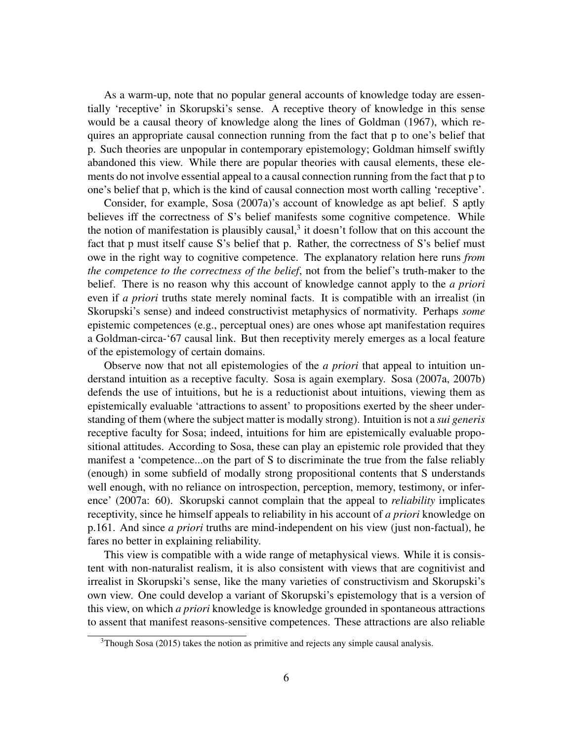As a warm-up, note that no popular general accounts of knowledge today are essentially 'receptive' in Skorupski's sense. A receptive theory of knowledge in this sense would be a causal theory of knowledge along the lines of Goldman (1967), which requires an appropriate causal connection running from the fact that p to one's belief that p. Such theories are unpopular in contemporary epistemology; Goldman himself swiftly abandoned this view. While there are popular theories with causal elements, these elements do not involve essential appeal to a causal connection running from the fact that p to one's belief that p, which is the kind of causal connection most worth calling 'receptive'.

Consider, for example, Sosa (2007a)'s account of knowledge as apt belief. S aptly believes iff the correctness of S's belief manifests some cognitive competence. While the notion of manifestation is plausibly causal, $3$  it doesn't follow that on this account the fact that p must itself cause S's belief that p. Rather, the correctness of S's belief must owe in the right way to cognitive competence. The explanatory relation here runs *from the competence to the correctness of the belief*, not from the belief's truth-maker to the belief. There is no reason why this account of knowledge cannot apply to the *a priori* even if *a priori* truths state merely nominal facts. It is compatible with an irrealist (in Skorupski's sense) and indeed constructivist metaphysics of normativity. Perhaps *some* epistemic competences (e.g., perceptual ones) are ones whose apt manifestation requires a Goldman-circa-'67 causal link. But then receptivity merely emerges as a local feature of the epistemology of certain domains.

Observe now that not all epistemologies of the *a priori* that appeal to intuition understand intuition as a receptive faculty. Sosa is again exemplary. Sosa (2007a, 2007b) defends the use of intuitions, but he is a reductionist about intuitions, viewing them as epistemically evaluable 'attractions to assent' to propositions exerted by the sheer understanding of them (where the subject matter is modally strong). Intuition is not a *sui generis* receptive faculty for Sosa; indeed, intuitions for him are epistemically evaluable propositional attitudes. According to Sosa, these can play an epistemic role provided that they manifest a 'competence...on the part of S to discriminate the true from the false reliably (enough) in some subfield of modally strong propositional contents that S understands well enough, with no reliance on introspection, perception, memory, testimony, or inference' (2007a: 60). Skorupski cannot complain that the appeal to *reliability* implicates receptivity, since he himself appeals to reliability in his account of *a priori* knowledge on p.161. And since *a priori* truths are mind-independent on his view (just non-factual), he fares no better in explaining reliability.

This view is compatible with a wide range of metaphysical views. While it is consistent with non-naturalist realism, it is also consistent with views that are cognitivist and irrealist in Skorupski's sense, like the many varieties of constructivism and Skorupski's own view. One could develop a variant of Skorupski's epistemology that is a version of this view, on which *a priori* knowledge is knowledge grounded in spontaneous attractions to assent that manifest reasons-sensitive competences. These attractions are also reliable

 $3$ Though Sosa (2015) takes the notion as primitive and rejects any simple causal analysis.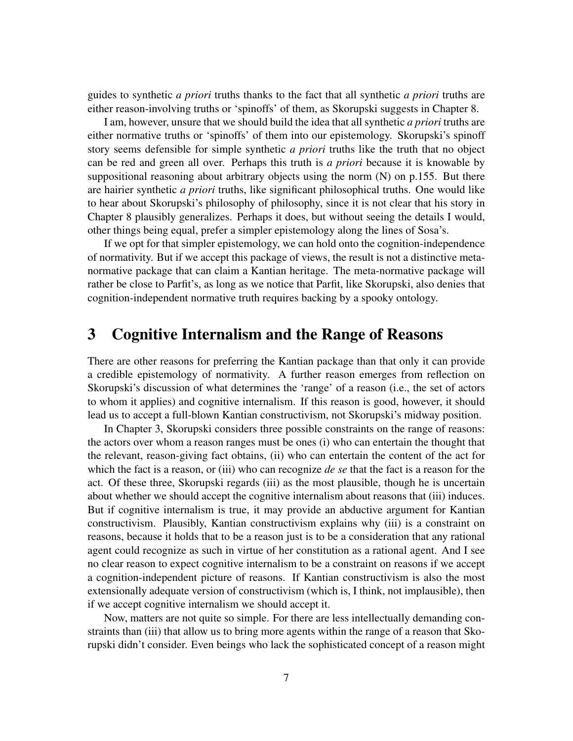guides to synthetic *a priori* truths thanks to the fact that all synthetic *a priori* truths are either reason-involving truths or 'spinoffs' of them, as Skorupski suggests in Chapter 8.

I am, however, unsure that we should build the idea that all synthetic *a priori* truths are either normative truths or 'spinoffs' of them into our epistemology. Skorupski's spinoff story seems defensible for simple synthetic *a priori* truths like the truth that no object can be red and green all over. Perhaps this truth is *a priori* because it is knowable by suppositional reasoning about arbitrary objects using the norm (N) on p.155. But there are hairier synthetic *a priori* truths, like significant philosophical truths. One would like to hear about Skorupski's philosophy of philosophy, since it is not clear that his story in Chapter 8 plausibly generalizes. Perhaps it does, but without seeing the details I would, other things being equal, prefer a simpler epistemology along the lines of Sosa's.

If we opt for that simpler epistemology, we can hold onto the cognition-independence of normativity. But if we accept this package of views, the result is not a distinctive metanormative package that can claim a Kantian heritage. The meta-normative package will rather be close to Parfit's, as long as we notice that Parfit, like Skorupski, also denies that cognition-independent normative truth requires backing by a spooky ontology.

#### 3 Cognitive Internalism and the Range of Reasons

There are other reasons for preferring the Kantian package than that only it can provide a credible epistemology of normativity. A further reason emerges from reflection on Skorupski's discussion of what determines the 'range' of a reason (i.e., the set of actors to whom it applies) and cognitive internalism. If this reason is good, however, it should lead us to accept a full-blown Kantian constructivism, not Skorupski's midway position.

In Chapter 3, Skorupski considers three possible constraints on the range of reasons: the actors over whom a reason ranges must be ones (i) who can entertain the thought that the relevant, reason-giving fact obtains, (ii) who can entertain the content of the act for which the fact is a reason, or (iii) who can recognize *de se* that the fact is a reason for the act. Of these three, Skorupski regards (iii) as the most plausible, though he is uncertain about whether we should accept the cognitive internalism about reasons that (iii) induces. But if cognitive internalism is true, it may provide an abductive argument for Kantian constructivism. Plausibly, Kantian constructivism explains why (iii) is a constraint on reasons, because it holds that to be a reason just is to be a consideration that any rational agent could recognize as such in virtue of her constitution as a rational agent. And I see no clear reason to expect cognitive internalism to be a constraint on reasons if we accept a cognition-independent picture of reasons. If Kantian constructivism is also the most extensionally adequate version of constructivism (which is, I think, not implausible), then if we accept cognitive internalism we should accept it.

Now, matters are not quite so simple. For there are less intellectually demanding constraints than (iii) that allow us to bring more agents within the range of a reason that Skorupski didn't consider. Even beings who lack the sophisticated concept of a reason might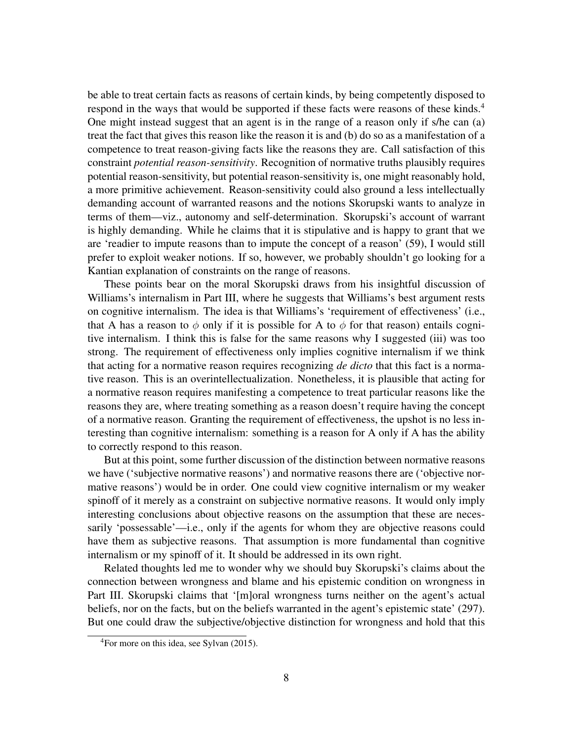be able to treat certain facts as reasons of certain kinds, by being competently disposed to respond in the ways that would be supported if these facts were reasons of these kinds.<sup>4</sup> One might instead suggest that an agent is in the range of a reason only if s/he can (a) treat the fact that gives this reason like the reason it is and (b) do so as a manifestation of a competence to treat reason-giving facts like the reasons they are. Call satisfaction of this constraint *potential reason-sensitivity*. Recognition of normative truths plausibly requires potential reason-sensitivity, but potential reason-sensitivity is, one might reasonably hold, a more primitive achievement. Reason-sensitivity could also ground a less intellectually demanding account of warranted reasons and the notions Skorupski wants to analyze in terms of them—viz., autonomy and self-determination. Skorupski's account of warrant is highly demanding. While he claims that it is stipulative and is happy to grant that we are 'readier to impute reasons than to impute the concept of a reason' (59), I would still prefer to exploit weaker notions. If so, however, we probably shouldn't go looking for a Kantian explanation of constraints on the range of reasons.

These points bear on the moral Skorupski draws from his insightful discussion of Williams's internalism in Part III, where he suggests that Williams's best argument rests on cognitive internalism. The idea is that Williams's 'requirement of effectiveness' (i.e., that A has a reason to  $\phi$  only if it is possible for A to  $\phi$  for that reason) entails cognitive internalism. I think this is false for the same reasons why I suggested (iii) was too strong. The requirement of effectiveness only implies cognitive internalism if we think that acting for a normative reason requires recognizing *de dicto* that this fact is a normative reason. This is an overintellectualization. Nonetheless, it is plausible that acting for a normative reason requires manifesting a competence to treat particular reasons like the reasons they are, where treating something as a reason doesn't require having the concept of a normative reason. Granting the requirement of effectiveness, the upshot is no less interesting than cognitive internalism: something is a reason for A only if A has the ability to correctly respond to this reason.

But at this point, some further discussion of the distinction between normative reasons we have ('subjective normative reasons') and normative reasons there are ('objective normative reasons') would be in order. One could view cognitive internalism or my weaker spinoff of it merely as a constraint on subjective normative reasons. It would only imply interesting conclusions about objective reasons on the assumption that these are necessarily 'possessable'—i.e., only if the agents for whom they are objective reasons could have them as subjective reasons. That assumption is more fundamental than cognitive internalism or my spinoff of it. It should be addressed in its own right.

Related thoughts led me to wonder why we should buy Skorupski's claims about the connection between wrongness and blame and his epistemic condition on wrongness in Part III. Skorupski claims that '[m]oral wrongness turns neither on the agent's actual beliefs, nor on the facts, but on the beliefs warranted in the agent's epistemic state' (297). But one could draw the subjective/objective distinction for wrongness and hold that this

<sup>4</sup>For more on this idea, see Sylvan (2015).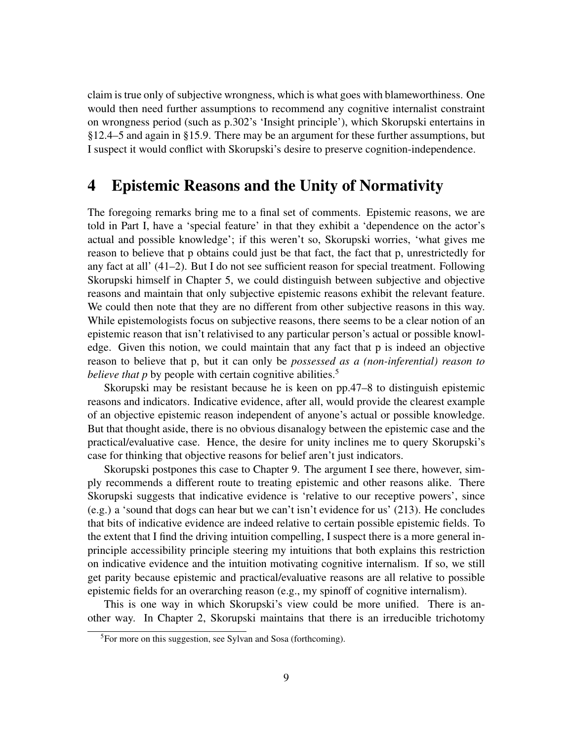claim is true only of subjective wrongness, which is what goes with blameworthiness. One would then need further assumptions to recommend any cognitive internalist constraint on wrongness period (such as p.302's 'Insight principle'), which Skorupski entertains in §12.4–5 and again in §15.9. There may be an argument for these further assumptions, but I suspect it would conflict with Skorupski's desire to preserve cognition-independence.

#### 4 Epistemic Reasons and the Unity of Normativity

The foregoing remarks bring me to a final set of comments. Epistemic reasons, we are told in Part I, have a 'special feature' in that they exhibit a 'dependence on the actor's actual and possible knowledge'; if this weren't so, Skorupski worries, 'what gives me reason to believe that p obtains could just be that fact, the fact that p, unrestrictedly for any fact at all' (41–2). But I do not see sufficient reason for special treatment. Following Skorupski himself in Chapter 5, we could distinguish between subjective and objective reasons and maintain that only subjective epistemic reasons exhibit the relevant feature. We could then note that they are no different from other subjective reasons in this way. While epistemologists focus on subjective reasons, there seems to be a clear notion of an epistemic reason that isn't relativised to any particular person's actual or possible knowledge. Given this notion, we could maintain that any fact that p is indeed an objective reason to believe that p, but it can only be *possessed as a (non-inferential) reason to believe that p* by people with certain cognitive abilities.<sup>5</sup>

Skorupski may be resistant because he is keen on pp.47–8 to distinguish epistemic reasons and indicators. Indicative evidence, after all, would provide the clearest example of an objective epistemic reason independent of anyone's actual or possible knowledge. But that thought aside, there is no obvious disanalogy between the epistemic case and the practical/evaluative case. Hence, the desire for unity inclines me to query Skorupski's case for thinking that objective reasons for belief aren't just indicators.

Skorupski postpones this case to Chapter 9. The argument I see there, however, simply recommends a different route to treating epistemic and other reasons alike. There Skorupski suggests that indicative evidence is 'relative to our receptive powers', since (e.g.) a 'sound that dogs can hear but we can't isn't evidence for us' (213). He concludes that bits of indicative evidence are indeed relative to certain possible epistemic fields. To the extent that I find the driving intuition compelling, I suspect there is a more general inprinciple accessibility principle steering my intuitions that both explains this restriction on indicative evidence and the intuition motivating cognitive internalism. If so, we still get parity because epistemic and practical/evaluative reasons are all relative to possible epistemic fields for an overarching reason (e.g., my spinoff of cognitive internalism).

This is one way in which Skorupski's view could be more unified. There is another way. In Chapter 2, Skorupski maintains that there is an irreducible trichotomy

<sup>5</sup>For more on this suggestion, see Sylvan and Sosa (forthcoming).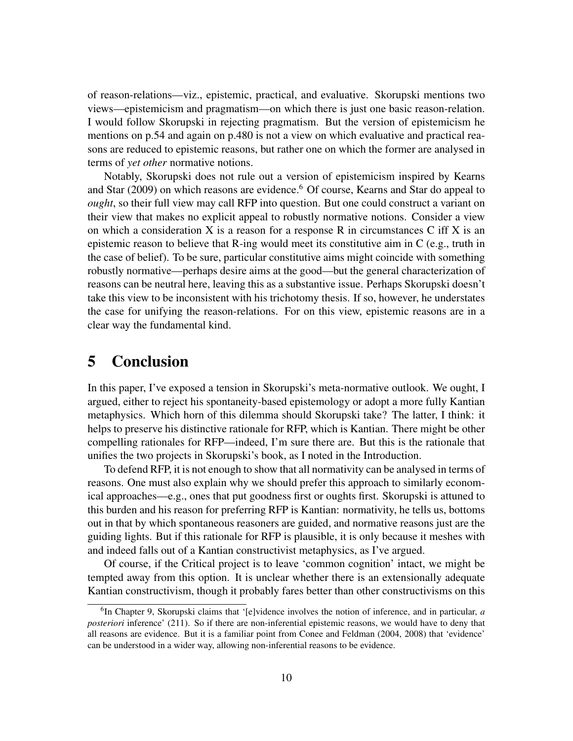of reason-relations—viz., epistemic, practical, and evaluative. Skorupski mentions two views—epistemicism and pragmatism—on which there is just one basic reason-relation. I would follow Skorupski in rejecting pragmatism. But the version of epistemicism he mentions on p.54 and again on p.480 is not a view on which evaluative and practical reasons are reduced to epistemic reasons, but rather one on which the former are analysed in terms of *yet other* normative notions.

Notably, Skorupski does not rule out a version of epistemicism inspired by Kearns and Star (2009) on which reasons are evidence.<sup>6</sup> Of course, Kearns and Star do appeal to *ought*, so their full view may call RFP into question. But one could construct a variant on their view that makes no explicit appeal to robustly normative notions. Consider a view on which a consideration X is a reason for a response R in circumstances C iff X is an epistemic reason to believe that R-ing would meet its constitutive aim in C (e.g., truth in the case of belief). To be sure, particular constitutive aims might coincide with something robustly normative—perhaps desire aims at the good—but the general characterization of reasons can be neutral here, leaving this as a substantive issue. Perhaps Skorupski doesn't take this view to be inconsistent with his trichotomy thesis. If so, however, he understates the case for unifying the reason-relations. For on this view, epistemic reasons are in a clear way the fundamental kind.

## 5 Conclusion

In this paper, I've exposed a tension in Skorupski's meta-normative outlook. We ought, I argued, either to reject his spontaneity-based epistemology or adopt a more fully Kantian metaphysics. Which horn of this dilemma should Skorupski take? The latter, I think: it helps to preserve his distinctive rationale for RFP, which is Kantian. There might be other compelling rationales for RFP—indeed, I'm sure there are. But this is the rationale that unifies the two projects in Skorupski's book, as I noted in the Introduction.

To defend RFP, it is not enough to show that all normativity can be analysed in terms of reasons. One must also explain why we should prefer this approach to similarly economical approaches—e.g., ones that put goodness first or oughts first. Skorupski is attuned to this burden and his reason for preferring RFP is Kantian: normativity, he tells us, bottoms out in that by which spontaneous reasoners are guided, and normative reasons just are the guiding lights. But if this rationale for RFP is plausible, it is only because it meshes with and indeed falls out of a Kantian constructivist metaphysics, as I've argued.

Of course, if the Critical project is to leave 'common cognition' intact, we might be tempted away from this option. It is unclear whether there is an extensionally adequate Kantian constructivism, though it probably fares better than other constructivisms on this

<sup>6</sup> In Chapter 9, Skorupski claims that '[e]vidence involves the notion of inference, and in particular, *a posteriori* inference' (211). So if there are non-inferential epistemic reasons, we would have to deny that all reasons are evidence. But it is a familiar point from Conee and Feldman (2004, 2008) that 'evidence' can be understood in a wider way, allowing non-inferential reasons to be evidence.